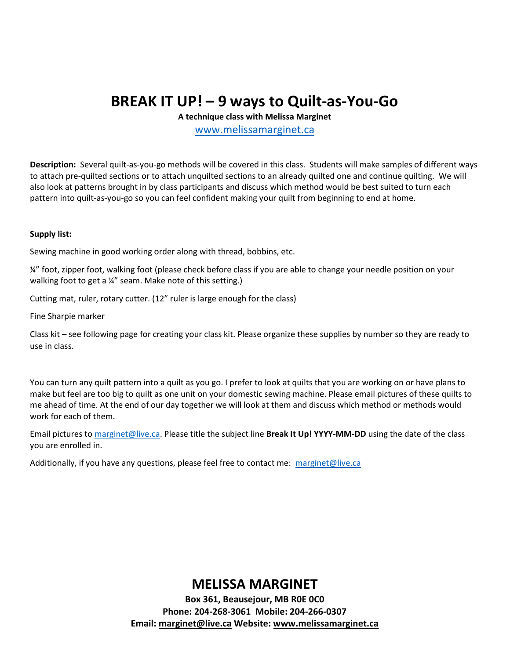# BREAK IT UP! – 9 ways to Quilt-as-You-Go

A technique class with Melissa Marginet

www.melissamarginet.ca

Description: Several quilt-as-you-go methods will be covered in this class. Students will make samples of different ways to attach pre-quilted sections or to attach unquilted sections to an already quilted one and continue quilting. We will also look at patterns brought in by class participants and discuss which method would be best suited to turn each pattern into quilt-as-you-go so you can feel confident making your quilt from beginning to end at home.

#### Supply list:

Sewing machine in good working order along with thread, bobbins, etc.

¼" foot, zipper foot, walking foot (please check before class if you are able to change your needle position on your walking foot to get a ¼" seam. Make note of this setting.)

Cutting mat, ruler, rotary cutter. (12" ruler is large enough for the class)

Fine Sharpie marker

Class kit – see following page for creating your class kit. Please organize these supplies by number so they are ready to use in class.

You can turn any quilt pattern into a quilt as you go. I prefer to look at quilts that you are working on or have plans to make but feel are too big to quilt as one unit on your domestic sewing machine. Please email pictures of these quilts to me ahead of time. At the end of our day together we will look at them and discuss which method or methods would work for each of them.

Email pictures to marginet@live.ca. Please title the subject line Break It Up! YYYY-MM-DD using the date of the class you are enrolled in.

Additionally, if you have any questions, please feel free to contact me: marginet@live.ca

### MELISSA MARGINET

Box 361, Beausejour, MB R0E 0C0 Phone: 204-268-3061 Mobile: 204-266-0307 Email: marginet@live.ca Website: www.melissamarginet.ca